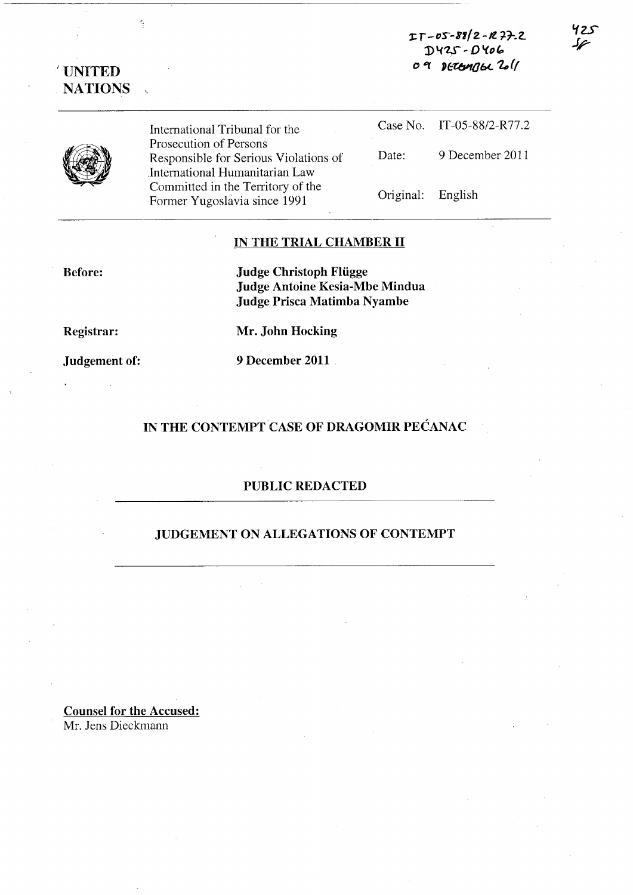']:. r - D'S-8'1/Z -Il. *77-.2.*   $DYZS - DYOG$ *o* #if 'f:.t:tJ!10bL 1.. ((

'1z..r Jr-

# 'UNITED **NATIONS**

Î,



International Tribunal for the Prosecution of Persons Responsible for Serious Violations of .International Humanitarian Law Committed in the Territory of the Former Yugoslavia since 1991

Case No. IT-05-88/2-R77.2 Date: 9 December 2011

Original: English

IN THE TRIAL CHAMBER II

Before:

Judge Christoph Fliigge Judge Antoine Kesia-Mbe Mindua Judge Prisca Matimba Nyambe

Registrar:

Judgement of:

9 December 2011

Mr. John Hocking

## IN THE CONTEMPT CASE OF DRAGOMIR PECANAC

## PUBLIC REDACTED

## JUDGEMENT ON ALLEGATIONS OF CONTEMPT

Counsel for the Accused: Mr. Jens Dieckmann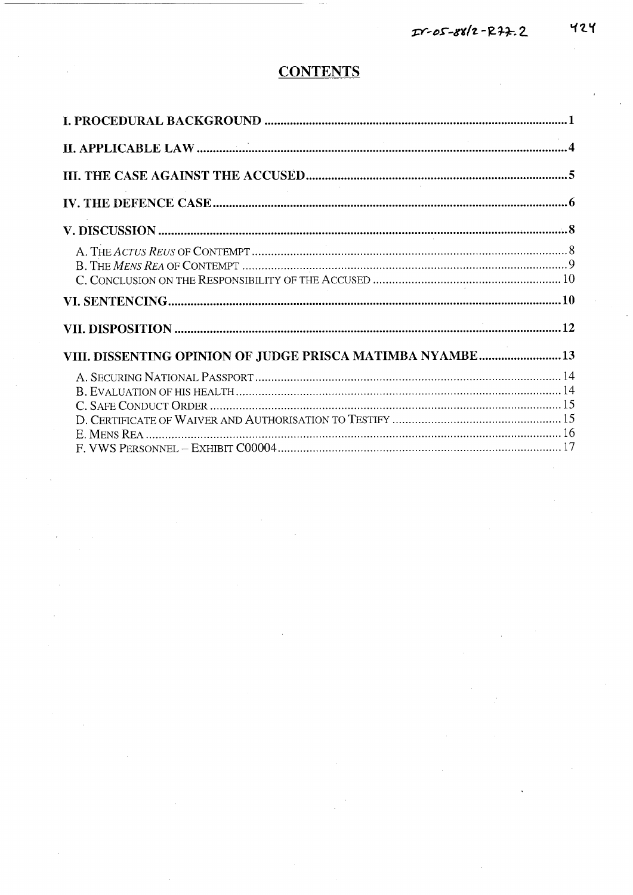# **CONTENTS**

| VIII. DISSENTING OPINION OF JUDGE PRISCA MATIMBA NYAMBE13 |  |
|-----------------------------------------------------------|--|
|                                                           |  |
|                                                           |  |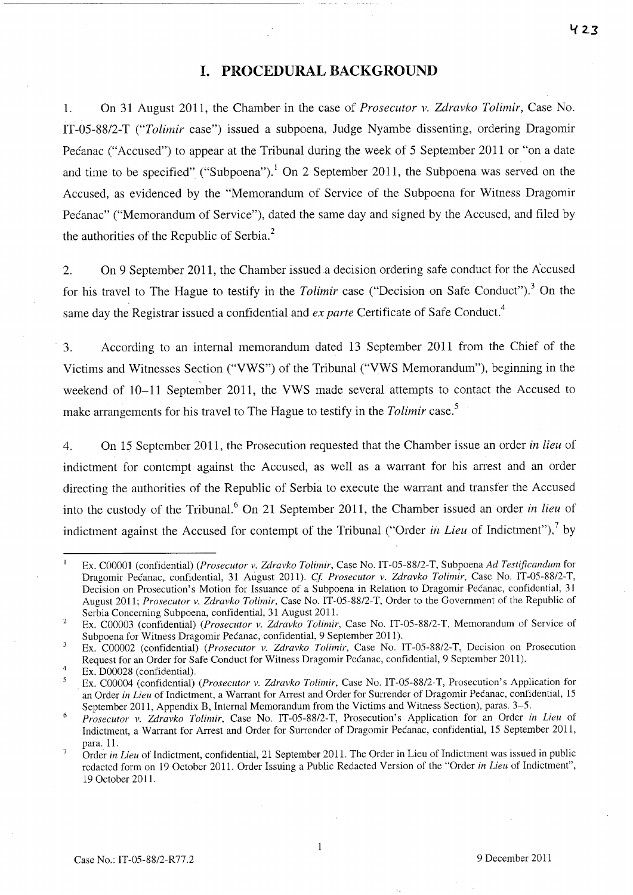## **I. PROCEDURAL BACKGROUND**

1. On 31 August 2011, the Chamber in the case of *Prosecutor v. Zdravko Tolimir*, Case No. IT-05-88/2-T *("Tolimir* case") issued a subpoena, Judge Nyambe dissenting, ordering Dragomir Pecanac ("Accused") to appear at the Tribunal during the week of 5 September 2011 or "on a date and time to be specified" ("Subpoena").<sup>1</sup> On 2 September 2011, the Subpoena was served on the Accused, as evidenced by the "Memorandum of Service of the Subpoena for Witness Dragomir Pećanac" ("Memorandum of Service"), dated the same day and signed by the Accused, and filed by the authorities of the Republic of Serbia. $<sup>2</sup>$ </sup>

2. On 9 September 2011, the Chamber issued a decision ordering safe conduct for the Accused for his travel to The Hague to testify in the *Tolimir* case ("Decision on Safe Conduct").<sup>3</sup> On the same day the Registrar issued a confidential and *ex parte* Certificate of Safe Conduct.<sup>4</sup>

3. According to an internal memorandum dated 13 September 2011 from the Chief of the Victims and Witnesses Section ("VWS") of the Tribunal ("VWS Memorandum"), beginning in the weekend of 10-11 September 2011, the VWS made several attempts to contact the Accused to make arrangements for his travel to The Hague to testify in the *Tolimir* case. s

4. On 15 September 2011, the Prosecution requested that the Chamber issue an order *in lieu* of indictment for contempt against the Accused, as well as a warrant for his arrest and an order directing the authorities of the Republic of Serbia to execute the warrant and transfer the Accused into the custody of the Tribunal.<sup>6</sup> On 21 September 2011, the Chamber issued an order *in lieu* of indictment against the Accused for contempt of the Tribunal ("Order *in Lieu* of Indictment"),<sup>7</sup> by

 $\overline{\mathbf{3}}$ Ex. C00002 (confidential) *(Prosecutor v. Zdravko Tolimir,* Case No. IT-05-88/2-T, Decision on Prosecution Request for an Order for Safe Conduct for Witness Dragomir Pecanac, confidential, 9 September 2011).

 $\mathbf{I}$ Ex. C00001 (confidential) *(Prosecutor v. Zdravko Tolimir,* Case No. IT-05-88/2-T, Subpoena *Ad Testificandum* for Dragomir Pecanac, confidential, 31 August 2011). *Cf Prosecutor v. Zdravko Tolimir,* Case No. IT-05-88/2-T, Decision on Prosecution's Motion for Issuance of a Subpoena in Relation to Dragomir Pecanac, confidential, 31 August 2011; *Prosecutor v. Zdravko Tolimir,* Case No. IT-05-8812-T, Order to the Government of the Republic of Serbia Concerning Subpoena, confidential, 31 August 2011.

<sup>2</sup>  Ex. C00003 (confidential) *(Prosecutor v. Zdravko Tolimir,* Case No. IT-05-88/2-T, Memorandum of Service of Subpoena for Witness Dragomir Pecanac, confidential, 9 September 2011).

<sup>4</sup>  Ex. D00028 (confidential).

Ex. C00004 (confidential) *(Prosecutor v. Zdravko Tolimir,* Case No. IT-05-88/2-T, Prosecution's Application for an Order *in Lieu* of Indictment, a Warrant for Arrest and Order for Surrender of Dragomir Pecanac, confidential, 15 September 2011, Appendix B, Internal Memorandum from the Victims and Witness Section), paras. 3-5.

<sup>6</sup> *Prosecutor v. Zdravko Tolimir,* Case No. IT-05-88/2-T, Prosecution's Application for an Order *in Lieu* of Indictment, a Warrant for Arrest and Order for Surrender of Dragomir Pecanac, confidential, 15 September 2011, para. 11.

<sup>7</sup>  Order *in Lieu* of Indictment, confidential, 21 September 2011. The Order in Lieu of Indictment was issued in public redacted form on 19 October 2011. Order Issuing a Public Redacted Version of the "Order *in Lieu* of Indictment", 19 October 2011.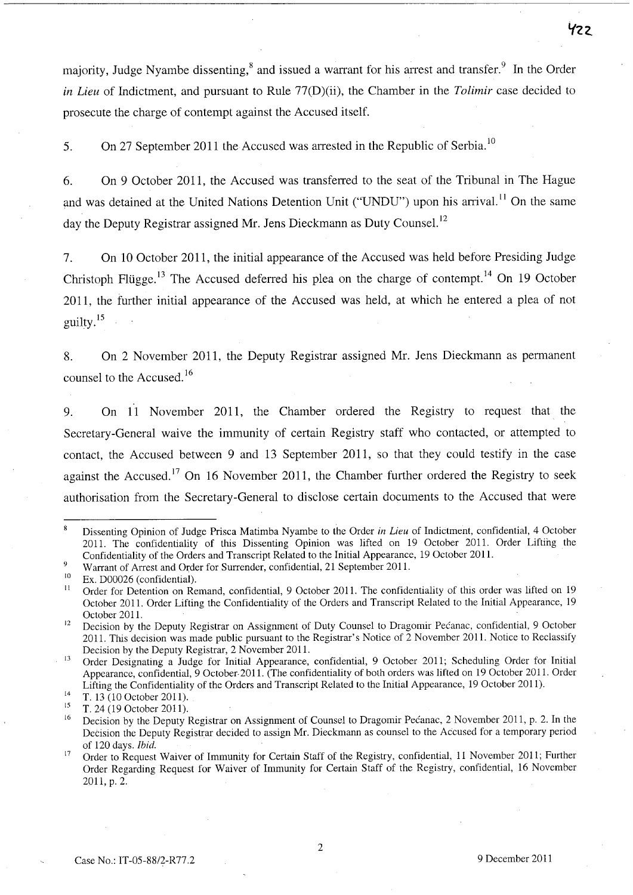majority, Judge Nyambe dissenting,<sup>8</sup> and issued a warrant for his arrest and transfer.<sup>9</sup> In the Order *in Lieu* of Indictment, and pursuant to Rule 77(D)(ii), the Chamber in the *Tolimir* case decided to prosecute the charge of contempt against the Accused itself.

5. On 27 September 2011 the Accused was arrested in the Republic of Serbia.<sup>10</sup>

6. On 9 October 2011, the Accused was transferred to the seat of the Tribunal in The Hague and was detained at the United Nations Detention Unit ("UNDU") upon his arrival.<sup>11</sup> On the same day the Deputy Registrar assigned Mr. Jens Dieckmann as Duty Counsel.<sup>12</sup>

7. On 10 October 2011, the initial appearance of the Accused was held before Presiding Judge Christoph Flügge.<sup>13</sup> The Accused deferred his plea on the charge of contempt.<sup>14</sup> On 19 October 2011, the further initial appearance of the Accused was held, at which he entered a plea of not guilty.<sup>15</sup>

8. On 2 November 2011, the Deputy Registrar assigned Mr. Jens Dieckmann as permanent counsel to the Accused.<sup>16</sup>

9. On 11 November 2011, the Chamber ordered the Registry to request that the Secretary-General waive the immunity of certain Registry staff who contacted, or attempted to contact, the Accused between 9 and 13 September 2011, so that they could testify in the case against the Accused.<sup>17</sup> On 16 November 2011, the Chamber further ordered the Registry to seek authorisation from the Secretary-General to disclose certain documents to the Accused that were

9 Warrant of Arrest and Order for Surrender, confidential, 21 September 2011.

Case No.: IT-05-88/2-R77.2 9 December 2011

Dissenting Opinion of Judge Prisca Matimba Nyambe to the Order *in Lieu* of Indictment, confidential, 4 October 2011. The confidentiality of this Dissenting Opinion was lifted on 19 October 2011. Order Lifting the Confidentiality of the Orders and Transcript Related to the Initial Appearance, 19 October 2011.

<sup>10</sup>  Ex. D00026 (confidential).

<sup>11</sup>  Order for Detention on Remand, confidential, 9 October 2011. The confidentiality of this order was lifted on 19 October 2011. Order Lifting the Confidentiality of the Orders and Transcript Related to the Initial Appearance, 19 October 2011.

<sup>12</sup>  Decision by the Deputy Registrar on Assignment of Duty Counsel to Dragomir Pecanac, confidential, 9 October 2011. This decision was made public pursuant to the Registrar's Notice of 2 November 2011. Notice to Reclassify Decision by the Deputy Registrar, 2 November 2011.

<sup>13</sup>  Order Designating a Judge for Initial Appearance, confidential, 9 October 2011; Scheduling Order for Initial Appearance, confidential, 9 October· 201 1. (The confidentiality of both orders was lifted on 19 October 2011. Order Lifting the Confidentiality of the Orders and Transcript Related to the Initial Appearance, 19 October 2011).

<sup>14</sup>  T. 13 (10 October 2011).

<sup>15</sup>  T. 24 (19 October 2011).

<sup>16</sup>  Decision by the Deputy Registrar on Assignment of Counsel to Dragomir Pecanac, 2 November 2011, p. 2. In the Decision the Deputy Registrar decided to assign Mr. Dieckmann as counsel to the Accused for a temporary period of 120 days. *Ibid.* 

<sup>17</sup>  Order to Request Waiver of Immunity for Certain Staff of the Registry, confidential, 11 November 2011; Further Order Regarding Request for Waiver of Immunity for Certain Staff of the Registry, confidential, 16 November 2011, p. 2.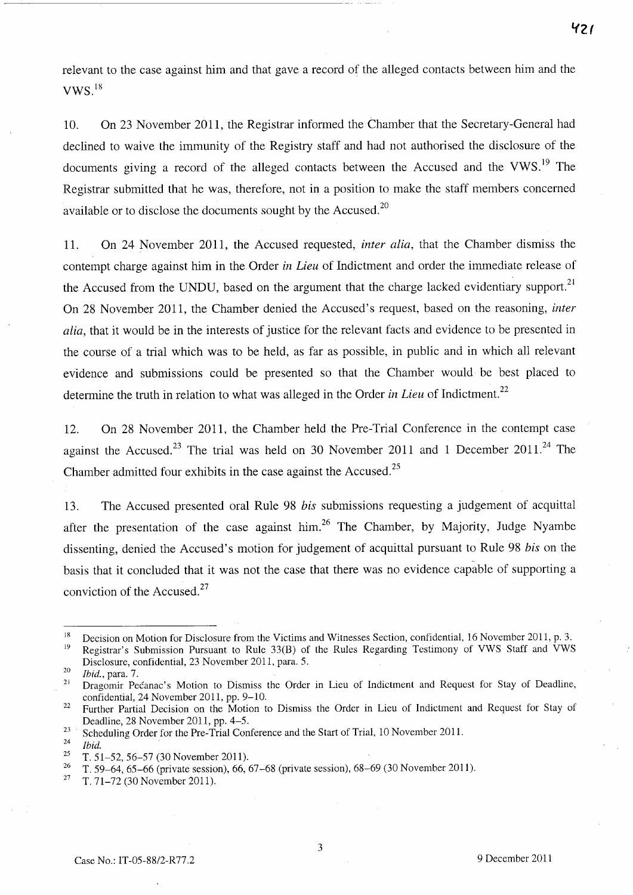relevant to the case against him and that gave a record of the alleged contacts between him and the  $VWS.$ <sup>18</sup>

10. On 23 November 2011, the Registrar informed the Chamber that the Secretary-General had declined to waive the immunity of the Registry staff and had not authorised the disclosure of the documents giving a record of the alleged contacts between the Accused and the VWS.<sup>19</sup> The Registrar submitted that he was, therefore, not in a position to make the staff members concerned available or to disclose the documents sought by the Accused. $20$ 

11. On 24 November 2011, the Accused requested, *inter alia,* that the Chamber dismiss the contempt charge against him in the Order *in Lieu* of Indictment and order the immediate release of the Accused from the UNDU, based on the argument that the charge lacked evidentiary support.<sup>21</sup> On 28 November 2011, the Chamber denied the Accused's request, based on the reasoning, *inter alia,* that it would be in the interests of justice for the relevant facts and evidence to be presented in the course of a trial which was to be held, as far as possible, in public and in which all relevant evidence and submissions could be presented so that the Chamber would· be best placed to determine the truth in relation to what was alleged in the Order *in Lieu* of Indictment. 22

12. On 28 November 2011, the Chamber held the Pre-Trial Conference in the contempt case against the Accused.<sup>23</sup> The trial was held on 30 November 2011 and 1 December 2011.<sup>24</sup> The Chamber admitted four exhibits in the case against the Accused.<sup>25</sup>

13. The Accused presented oral Rule 98 *bis* submissions requesting a judgement of acquittal after the presentation of the case against  $\lim_{n \to \infty} 26$  The Chamber, by Majority, Judge Nyambe dissenting, denied the Accused's motion for judgement of acquittal pursuant to Rule 98 *bis* on the basis that it concluded that it was not the case that there was no evidence capable of supporting a conviction of the Accused. $27$ 

*'f2(* 

<sup>&</sup>lt;sup>18</sup> Decision on Motion for Disclosure from the Victims and Witnesses Section, confidential, 16 November 2011, p. 3.<br><sup>19</sup> Begistrary Submission Burguart to Pule 33(B) of the Pules Begarding Testimony of VWS Staff and VWS Registrar's Submission Pursuant to Rule 33(B) of the Rules Regarding Testimony of VWS Staff and VWS Disclosure, confidential, 23 November 2011, para. 5.

<sup>20</sup>*Ibid.,* para. 7.

Dragomir Pećanac's Motion to Dismiss the Order in Lieu of Indictment and Request for Stay of Deadline, confidential, 24 November 2011, pp. 9-10.

<sup>&</sup>lt;sup>22</sup> Further Partial Decision on the Motion to Dismiss the Order in Lieu of Indictment and Request for Stay of Deadline, 28 November 2011, pp. 4-5.

<sup>23</sup> Scheduling Order for the Pre-Trial Conference and the Start of Trial, 10 November 2011.

 $\frac{24}{25}$  *Ibid.* 

<sup>&</sup>lt;sup>25</sup> T. 51-52, 56-57 (30 November 2011).

<sup>&</sup>lt;sup>26</sup> T. 59–64, 65–66 (private session), 66, 67–68 (private session), 68–69 (30 November 2011).<br><sup>27</sup> T. 71, 72, (30 November 2011).

<sup>27</sup> T. 71-72 (30 November 2011).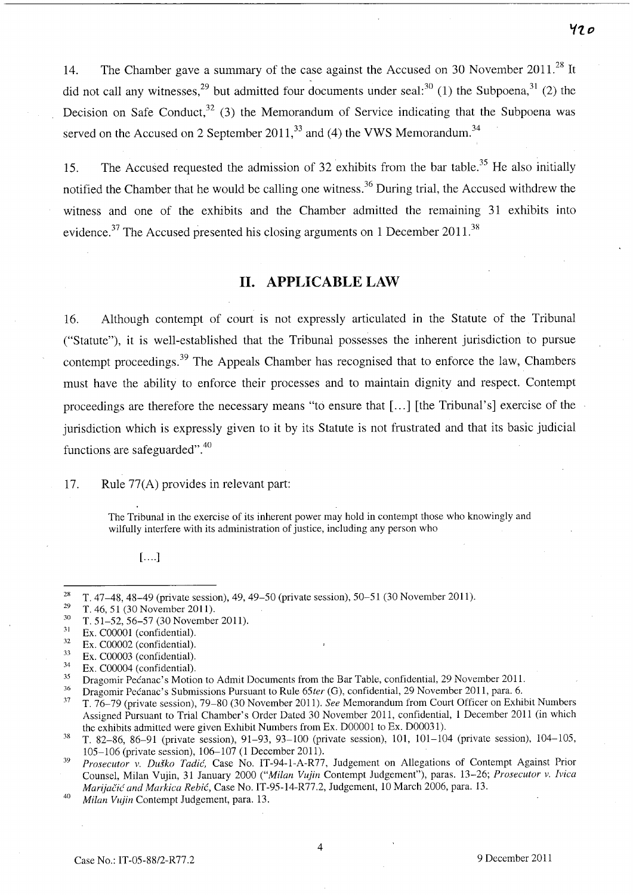14. The Chamber gave a summary of the case against the Accused on 30 November 2011.<sup>28</sup> It did not call any witnesses,  $29$  but admitted four documents under seal:  $30$  (1) the Subpoena,  $31$  (2) the Decision on Safe Conduct,<sup>32</sup> (3) the Memorandum of Service indicating that the Subpoena was served on the Accused on 2 September  $2011<sup>33</sup>$  and (4) the VWS Memorandum.<sup>34</sup>

15. The Accused requested the admission of 32 exhibits from the bar table.<sup>35</sup> He also initially notified the Chamber that he would be calling one witness.<sup>36</sup> During trial, the Accused withdrew the witness and one of the exhibits and the Chamber admitted the remaining 31 exhibits into evidence.<sup>37</sup> The Accused presented his closing arguments on 1 December 2011.<sup>38</sup>

## **11. APPLICABLE LAW**

16. Although contempt of court is not expressly articulated in the Statute of the Tribunal ("Statute"), it is well-established that the Tribunal possesses the inherent jurisdiction to pursue contempt proceedings.<sup>39</sup> The Appeals Chamber has recognised that to enforce the law, Chambers must have the ability to enforce their processes and to maintain dignity and respect. Contempt proceedings are therefore the necessary means "to ensure that [ ... ] [the Tribunal's] exercise of the jurisdiction which is expressly given to it by its Statute is not frustrated and that its basic judicial functions are safeguarded".<sup>40</sup>

#### 17. Rule 77(A) provides in relevant part:

The Tribunal in the exercise of its inherent power may hold in contempt those who knowingly and wilfully interfere with its administration of justice, including any person who

 $[...]$ 

<sup>36</sup> Dragomir Pećanac's Submissions Pursuant to Rule 65*ter* (G), confidential, 29 November 2011, para. 6.<br><sup>37</sup> T. 26, 20 (grinsta essaian), 20, 80 (20 November 2011). See Memorandum from Court Officer on Exhi

<sup>37</sup>T. 76-79 (private session), 79-80 (30 November 2011). *See* Memorandum from Court Officer on Exhibit Numbers Assigned Pursuant to Trial Chamber's Order Dated 30 November 2011, confidential, 1 December 2011 (in which the exhibits admitted were given Exhibit Numbers from Ex. D00001 to Ex. D00031).

<sup>&</sup>lt;sup>28</sup> T. 47-48, 48-49 (private session), 49, 49-50 (private session), 50-51 (30 November 2011).

<sup>&</sup>lt;sup>29</sup> T. 46, 51 (30 November 2011).<br><sup>30</sup> T. 51, 52, 56, 57 (30 November

 $\frac{30}{31}$  T. 51–52, 56–57 (30 November 2011).

 $\frac{31}{32}$  Ex. C00001 (confidential).

 $\frac{32}{33}$  Ex. C00002 (confidential).

 $\frac{33}{34}$  Ex. C00003 (confidential).

 $rac{34}{35}$  Ex. C00004 (confidential).

<sup>&</sup>lt;sup>35</sup> Dragomir Pecanac's Motion to Admit Documents from the Bar Table, confidential, 29 November 2011.

<sup>&</sup>lt;sup>38</sup> T. 82-86, 86-91 (private session), 91-93, 93-100 (private session), 101, 101-104 (private session), 104-105, 105-106 (private session), 106-107 (l December 2011).

<sup>&</sup>lt;sup>39</sup> Prosecutor v. Duško Tadić, Case No. IT-94-1-A-R77, Judgement on Allegations of Contempt Against Prior Counsel, Milan Vujin, 31 January 2000 ("Milan Vujin Contempt Judgement"), paras. 13-26; Prosecutor v. Ivica *Marijačić and Markica Rebić, Case No. IT-95-14-R77.2, Judgement, 10 March 2006, para. 13.* 

<sup>&</sup>lt;sup>40</sup> Milan Vujin Contempt Judgement, para. 13.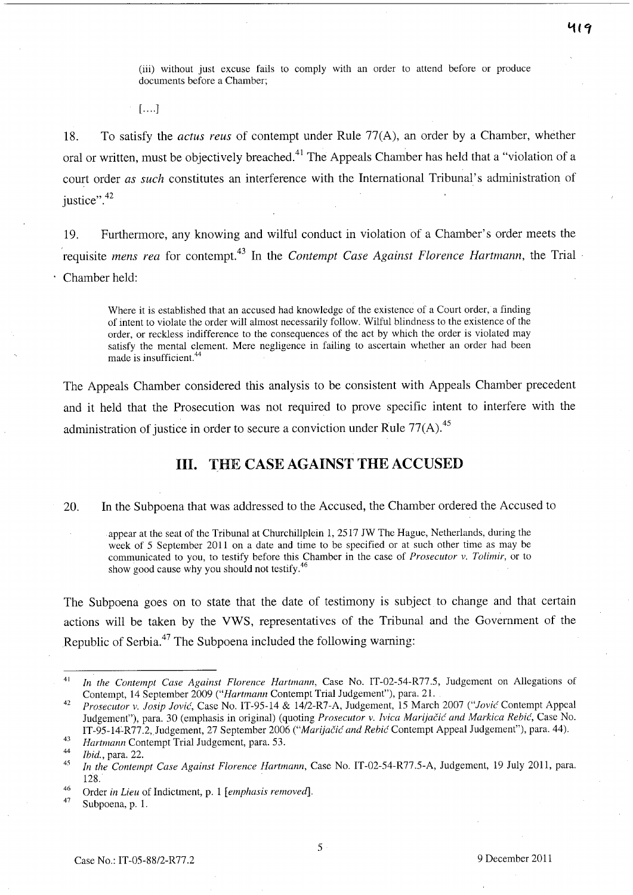(iii) without just excuse fails to comply with an order to attend before or produce documents before a Chamber;

 $[$ .... $]$ 

18. To satisfy the *actus reus* of contempt under Rule 77(A), an order by a Chamber, whether oral or written, must be objectively breached.<sup>41</sup> The Appeals Chamber has held that a "violation of a court order *as such* constitutes an interference with the International Tribunal's administration of justice".<sup>42</sup>

19. Furthermore, any knowing and wilful conduct in violation of a Chamber's order meets the requisite *mens rea* for contempt.43 **In** the *Contempt Case Against Florence Hartmann,* the Trial Chamber held:

Where it is established that an accused had knowledge of the existence of a Court order, a finding of intent to violate the order will almost necessarily follow. Wilful blindness to the existence of the order, or reckless indifference to the consequences of the act by which the order is violated may satisfy the mental element. Mere negligence in failing to ascertain whether an order had been made is insufficient.<sup>44</sup>

The Appeals Chamber considered this analysis to be consistent with Appeals Chamber precedent and it held that the Prosecution was not required to prove specific intent to interfere with the administration of justice in order to secure a conviction under Rule  $77(A)$ .<sup>45</sup>

## **Ill. THE CASE AGAINST THE ACCUSED**

20. **In** the Subpoena that was addressed to the Accused, the Chamber ordered the Accused to

appear at the seat of the Tribunal at Churchillplein 1, 2517 JW The Hague, Netherlands, during the week of 5 September 2011 on a date and time to be specified or at such other time as may be communicated to you, to testify before this Chamber in the case of *Prosecutor* v. *Tolimir,* or to show good cause why you should not testify.<sup>46</sup>

The Subpoena goes on to state that the date of testimony is subject to change and that certain actions will be taken by the VWS, representatives of the Tribunal and the Government of the Republic of Serbia.<sup>47</sup> The Subpoena included the following warning:

<sup>41</sup>  *In the Contempt Case Against Florence Hartmann,* Case No. IT-02-54-R77.5, Judgement on Allegations of Contempt, 14 September 2009 *("Hartmann* Contempt Trial Judgement"), para. 2l.

<sup>42</sup>  *Prosecutor* v. *Josip Jovic,* Case No. IT-95-14 & 14/2-R7-A, Judgement, 15 March 2007 *("Jovic* Contempt Appeal Judgement"), para. 30 (emphasis in original) (quoting *Prosecutor* v. *Ivica Marijacic and Markica Rebic,* Case No. IT-95-14-R77.2, Judgement, 27 September 2006 *("Marijačić and Rebić Contempt Appeal Judgement")*, para. 44).

<sup>43</sup>  *Hartmann* Contempt Trial Judgement, para. 53.

<sup>44</sup>  *Ibid.,* para. 22.

<sup>45</sup>  *In the Contempt Case Against Florence Hartmann,* Case No. IT-02-54-R77.5-A, Judgement, 19 July 2011, para. 128.

<sup>46</sup>  Order *in Lieu* of Indictment, p. 1 *[emphasis removed].* 

<sup>47</sup>  Subpoena, p. 1.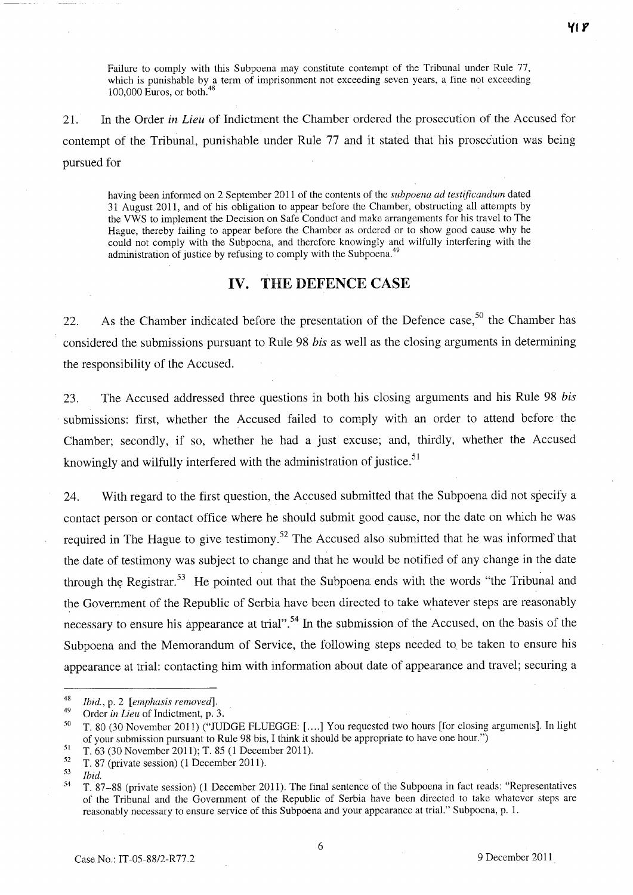Failure to comply with this Subpoena may constitute contempt of the Tribunal under Rule 77, which is punishable by a term of imprisonment not exceeding seven years, a fine not exceeding  $100,000$  F  $100,000$  Euros, or both. $4$ 

21. In the Order *in Lieu* of Indictment the Chamber ordered the prosecution of the Accused for contempt of the Tribunal, punishable under Rule 77 and it stated that his prosecution was being pursued for

having been informed on 2 September 2011 of the contents of the *subpoena ad testificandum* dated 31 August 2011, and of his obligation to appear before the Chamber, obstructing all attempts by the VWS to implement the Decision on Safe Conduct and make arrangements for his travel to The Hague, thereby failing to appear before the Chamber as ordered or to show good cause why he could not comply with the Subpoena, and therefore knowingly and wilfully interfering with the administration of justice by refusing to comply with the Subpoena.<sup>49</sup>

## **IV. THE DEFENCE CASE**

22. As the Chamber indicated before the presentation of the Defence case,<sup>50</sup> the Chamber has considered the submissions pursuant to Rule 98 *his* as well as the closing arguments in determining the responsibility of the Accused.

23. The Accused addressed three questions in both his closing arguments and his Rule 98 *his*  submissions: first, whether the Accused failed to comply with an order to attend before the Chamber; secondly, if so, whether he had a just excuse; and, thirdly, whether the Accused knowingly and wilfully interfered with the administration of justice.<sup>51</sup>

24. With regard to the first question, the Accused submitted that the Subpoena did not specify a contact person or contact office where he should submit good cause, nor the date on which he was required in The Hague to give testimony.<sup>52</sup> The Accused also submitted that he was informed that the date of testimony was subject to change and that he would be notified of any change in the date through the Registrar.<sup>53</sup> He pointed out that the Subpoena ends with the words "the Tribunal and the Government of the Republic of Serbia have been directed to take whatever steps are reasonably necessary to ensure his appearance at trial".<sup>54</sup> In the submission of the Accused, on the basis of the Subpoena and the Memorandum of Service, the following steps needed to, be taken to ensure his appearance at trial: contacting him with information about date of appearance and travel; securing a

**'flf** 

*<sup>48</sup> Ibid.,* p. 2 *[emphasis removed].* 

<sup>49</sup> Order *in Lieu* of Indictment, p. 3.

<sup>50</sup> T. 80 (30 November 2011) ("JUDGE FLUEGGE: [ .... ] You requested two hours [for closing arguments]. In light of your submission pursuant to Rule 98 bis, I think it should be appropriate to have one hour.")<br>T. 63 (30 November 2011); T. 85 (1 December 2011).<br> $52 \times 52 \times 52$ 

 $\frac{52}{53}$  T. 87 (private session) (1 December 2011).<br>  $\frac{53}{54}$  T. 87, 88 (private session) (1 December 20

<sup>54</sup> T. 87-88 (private session) (1 December 2011). The final sentence of the Subpoena in fact reads: "Representatives of the Tribunal and the Government of the Republic of Serbia have been directed to take whatever steps are reasonably necessary to ensure service of this Subpoena and your appearance at trial." Subpoena, p. 1.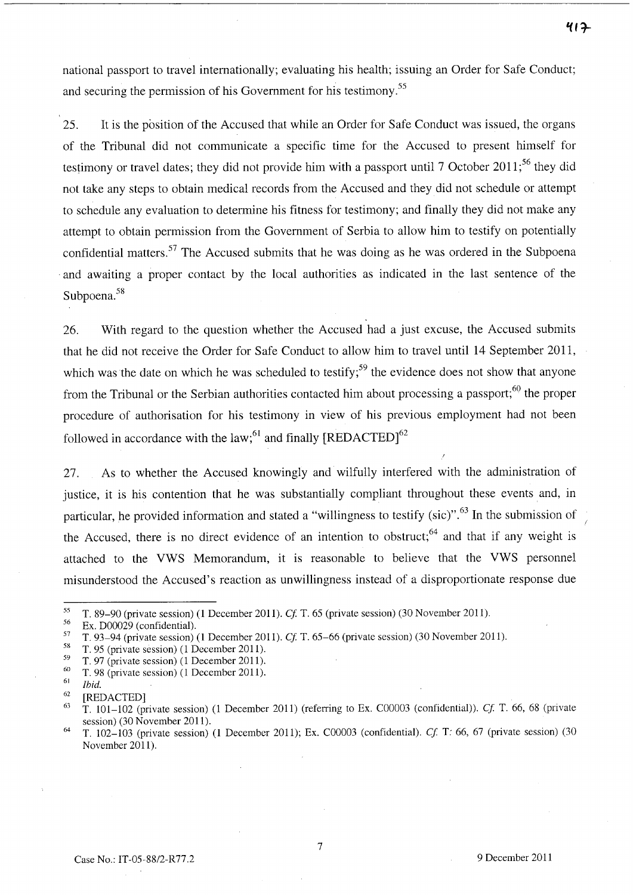national passport to travel internationally; evaluating his health; issuing an Order for Safe Conduct; and securing the permission of his Government for his testimony.<sup>55</sup>

25. It is the position of the Accused that while an Order for Safe Conduct was issued, the organs of the Tribunal did not communicate a specific time for the Accused to present himself for testimony or travel dates; they did not provide him with a passport until 7 October 2011;<sup>56</sup> they did not take any steps to obtain medical records from the Accused and they did not schedule or attempt to schedule any evaluation to determine his fitness for testimony; and finally they did not make any attempt to obtain permission from the Government of Serbia to allow him to testify on potentially confidential matters.<sup>57</sup> The Accused submits that he was doing as he was ordered in the Subpoena . and awaiting a proper contact by the local authorities as indicated in the last sentence of the Subpoena.<sup>58</sup>

26. With regard to the question whether the Accused had a just excuse, the Accused submits that he did not receive the Order for Safe Conduct to allow him to travel until 14 September 2011, which was the date on which he was scheduled to testify;<sup>59</sup> the evidence does not show that anyone from the Tribunal or the Serbian authorities contacted him about processing a passport; $60$  the proper procedure of authorisation for his testimony in view of his previous employment had not been followed in accordance with the law;<sup>61</sup> and finally  $[REDACTED]^{62}$ 

27. As to whether the Accused knowingly and wilfully interfered with the administration of justice, it is his contention that he was substantially compliant throughout these events and, in particular, he provided information and stated a "willingness to testify (sic)".<sup>63</sup> In the submission of the Accused, there is no direct evidence of an intention to obstruct;<sup>64</sup> and that if any weight is attached to the VWS Memorandum, it is reasonable to believe that the VWS personnel misunderstood the Accused's reaction as unwillingness instead of a disproportionate response due

 $\frac{56}{57}$  Ex. D00029 (confidential).

<sup>55</sup>T. 89-90 (private session) (1 December 2011). *et* T. 65 (private session) (30 November 2011).

<sup>57</sup> T. 93–94 (private session) (1 December 2011). *Cf.* T. 65–66 (private session) (30 November 2011).

 $^{58}$  T. 95 (private session) (1 December 2011).

 $^{59}$  T. 97 (private session) (1 December 2011).<br> $^{60}$  T. 98 (private session) (1 December 2011).

 $^{60}$  T. 98 (private session) (1 December 2011).

<sup>61</sup>*Ibid.* 

 $^{62}$  [REDACTED]

<sup>63</sup> T. 101-102 (private session) (1 December 2011) (referring to Ex. C00003 (confidential)). *Cl* T. 66, 68 (private session) (30 November 2011).

<sup>64</sup>T. 102-103 (private session) (1 December 2011); Ex. C00003 (confidential). *et* T: 66, 67 (private session) (30 November 2011).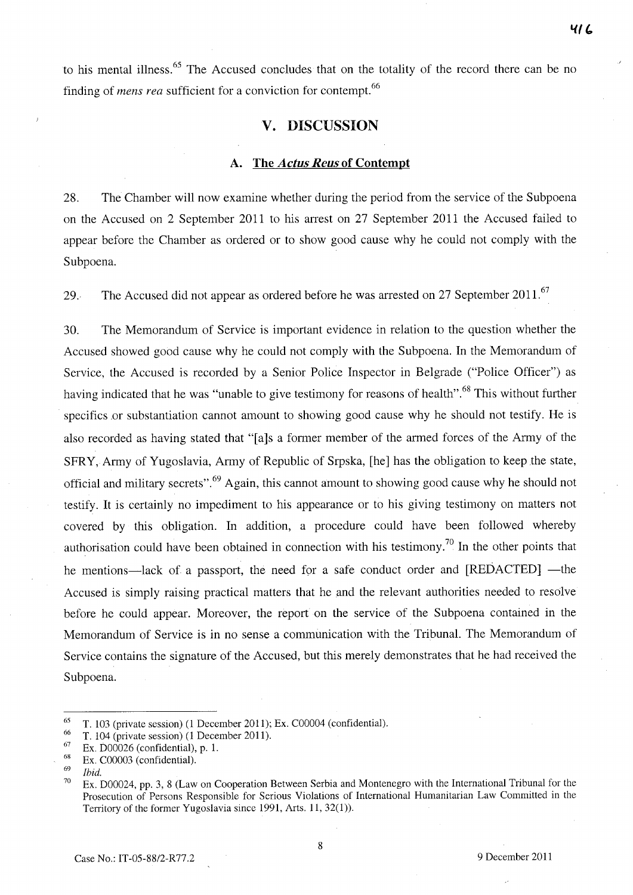to his mental illness.<sup>65</sup> The Accused concludes that on the totality of the record there can be no finding of *mens rea* sufficient for a conviction for contempt.<sup>66</sup>

## v. DISCUSSION

#### A. The *Actus Reus* of Contempt

28. The Chamber will now examine whether during the period from the service of the Subpoena on the Accused on 2 September 2011 to his arrest on 27 September 2011 the Accused failed to appear before the Chamber as ordered or to show good cause why he could not comply with the Subpoena.

29. The Accused did not appear as ordered before he was arrested on 27 September 2011.<sup>67</sup>

30. The Memorandum of Service is important evidence in relation to the question whether the Accused showed good cause why he could not comply with the Subpoena. In the Memorandum of Service, the Accused is recorded by a Senior Police Inspector in Belgrade ("Police Officer") as having indicated that he was "unable to give testimony for reasons of health".<sup>68</sup> This without further specifics or substantiation cannot amount to showing good cause why he should not testify. He is also recorded as having stated that "[a]s a former member of the armed forces of the Army of the SFR Y, Army of Yugoslavia, Army of Republic of Srpska, [he] has the obligation to keep the state, official and military secrets".<sup>69</sup> Again, this cannot amount to showing good cause why he should not testify. It is certainly no impediment to his appearance or to his giving testimony on matters not covered by this obligation. In addition, a procedure could have been followed whereby authorisation could have been obtained in connection with his testimony.<sup>70</sup> In the other points that he mentions—lack of a passport, the need for a safe conduct order and [REDACTED] —the Accused is simply raising practical matters that he and the relevant authorities needed to resolve before he could appear. Moreover, the report on the service of the Subpoena contained in the Memorandum of Service is in no sense a communication with the Tribunal. The Memorandum of Service contains the signature of the Accused, but this merely demonstrates that he had received the Subpoena.

<sup>&</sup>lt;sup>65</sup> T. 103 (private session) (1 December 2011); Ex. C00004 (confidential).

<sup>&</sup>lt;sup>66</sup> T. 104 (private session) (1 December 2011).

 $^{67}$  Ex. D00026 (confidential), p. 1.

 $^{68}$  Ex. C00003 (confidential).

*<sup>69</sup> Ibid.* 

Ex. D00024, pp. 3, 8 (Law on Cooperation Between Serbia and Montenegro with the International Tribunal for the Prosecution of Persons Responsible for Serious Violations of International Humanitarian Law Committed in the Territory of the former Yugoslavia since 1991, Arts. 11,32(1)).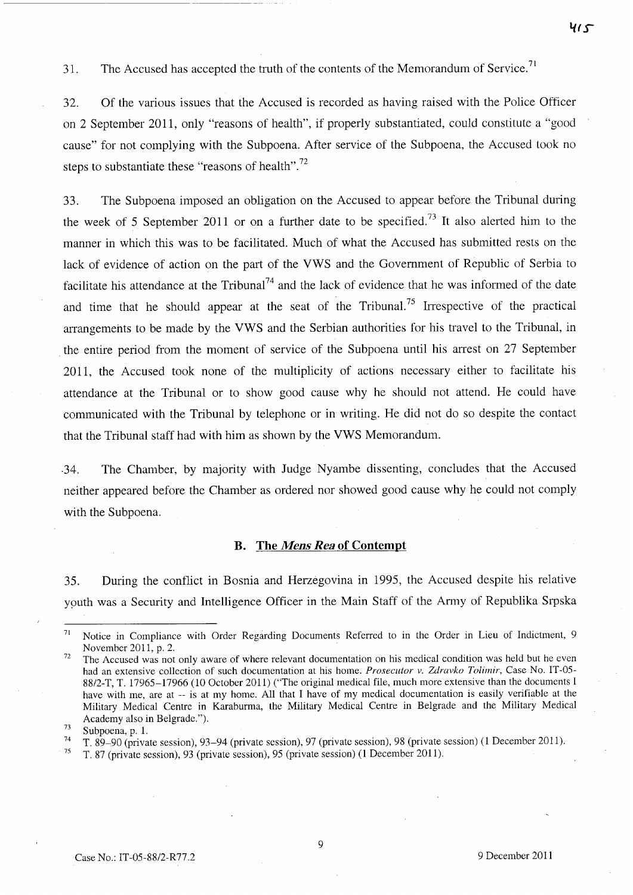31. The Accused has accepted the truth of the contents of the Memorandum of Service.<sup>71</sup>

32. Of the various issues that the Accused is recorded as having raised with the Police Officer on 2 September 2011, only "reasons of health", if properly substantiated, could constitute a "good cause" for not complying with the Subpoena. After service of the Subpoena, the Accused took no steps to substantiate these "reasons of health".<sup>72</sup>

33. The Subpoena imposed an obligation on the Accused to appear before the Tribunal during the week of 5 September 2011 or on a further date to be specified.<sup>73</sup> It also alerted him to the manner in which this was to be facilitated. Much of what the Accused has submitted rests on the lack of evidence of action on the part of the VWS and the Government of Republic of Serbia to facilitate his attendance at the Tribunal<sup>74</sup> and the lack of evidence that he was informed of the date and time that he should appear at the seat of the Tribunal.<sup>75</sup> Irrespective of the practical arrangements to be made by the VWS and the Serbian authorities for his travel to the Tribunal, in the entire period from the moment of service of the Subpoena until his arrest on 27 September 2011, the Accused took none of the multiplicity of actions necessary either to facilitate his attendance at the Tribunal or to show good cause why he should not attend. He could have communicated with the Tribunal by telephone or in writing. He did not do so despite the contact that the Tribunal staff had with him as shown by the VWS Memorandum.

·34. The Chamber, by majority with Judge Nyambe dissenting, concludes that the Accused neither appeared before the Chamber as ordered nor showed good cause why he could not comply with the Subpoena.

#### **B. The** *Mens Rea* **of Contempt**

35. During the conflict in Bosnia and Herzegovina in 1995, the Accused despite his relative youth was a Security and Intelligence Officer in the Main Staff of the Army of Republika Srpska

------------------------

<sup>71</sup> Notice in Compliance with Order Regarding Documents Referred to in the Order in Lieu of Indictment, 9 November 2011, p. 2.

<sup>&</sup>lt;sup>72</sup> The Accused was not only aware of where relevant documentation on his medical condition was held but he even had an extensive collection of such documentation at his home. *Prosecutor v. Zdravko Tolimir,* Case No. IT-05- 88/2-T, T. 17965-17966 (10 October 2011) ("The original medical file, much more extensive than the documents I have with me, are at -- is at my home. All that I have of my medical documentation is easily verifiable at the Military Medical Centre in Karaburma, the Military Medical Centre in Belgrade and the Military Medical Academy also in Belgrade.").

 $\frac{73}{74}$  Subpoena, p. 1.

<sup>74</sup> T. 89-90 (private session), 93-94 (private session), 97 (private session), 98 (private session) (1 December 2011).

<sup>75</sup> T. 87 (private session), 93 (private session), 95 (private session) (1 December 2011).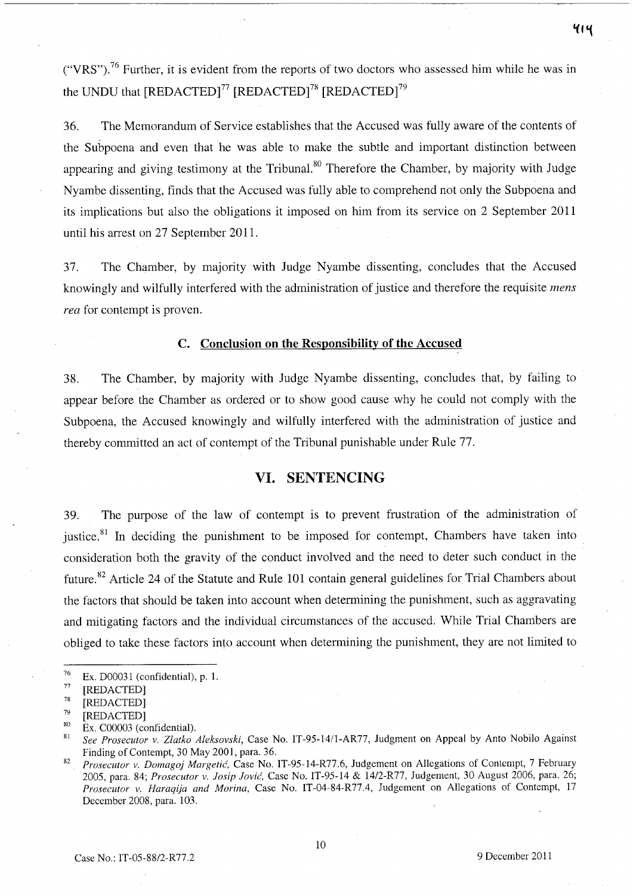("VRS").<sup>76</sup> Further, it is evident from the reports of two doctors who assessed him while he was in the UNDU that  $[REDACTED]^{77}$   $[REDACTED]^{78}$   $[REDACTED]^{79}$ 

36. The Memorandum of Service establishes that the Accused was fully aware of the contents of the Subpoena and even that he was able to make the subtle and important distinction between appearing and giving testimony at the Tribunal.<sup>80</sup> Therefore the Chamber, by majority with Judge Nyambe dissenting, finds that the Accused was fully able to comprehend not only the Subpoena and its implications but also the obligations it imposed on him from its service on 2 September 2011 until his arrest on 27 September 2011.

37. The Chamber, by majority with Judge Nyambe dissenting, concludes that the Accused knowingly and wilfully interfered with the administration of justice and therefore the requisite *mens rea* for contempt is proven.

## **C. Conclusion on the Responsibility of the Accused**

38. The Chamber, by majority with Judge Nyambe dissenting, concludes that, by failing to appear before the Chamber as ordered or to show good cause why he could not comply with the Subpoena, the Accused knowingly and wilfully interfered with the administration of justice and thereby committed an act of contempt of the Tribunal punishable under Rule 77.

#### **VI. SENTENCING**

39. The purpose of the law of contempt is to prevent frustration of the administration of justice.<sup>81</sup> In deciding the punishment to be imposed for contempt, Chambers have taken into consideration both the gravity of the conduct involved and the need to deter such conduct in the future.<sup>82</sup> Article 24 of the Statute and Rule 101 contain general guidelines for Trial Chambers about the factors that should be taken into account when determining the punishment, such as aggravating and mitigating factors and the individual circumstances of the accused. While Trial Chambers are obliged to take these factors into account when determining the punishment, they are not limited to

<sup>&</sup>lt;sup>76</sup> Ex. D00031 (confidential), p. 1.<br><sup>77</sup> EPEDACTED1

 $^{77}$  [REDACTED]

<sup>[</sup>REDACTED]

 $^{79}$  [REDACTED]

 $\frac{80}{81}$  Ex. C00003 (confidential).

<sup>81</sup>*See Prosecutor* v. *Zlatko Aleksovski,* Case No. IT-95-14/l-AR77, Judgment on Appeal by Anto Nobilo Against Finding of Contempt, 30 May 2001, para. 36.

*<sup>82</sup> Prosecutor* v. *Domagoj Margetic,* Case No. IT-95-14-R77.6, Judgement on Allegations of Contempt, 7 February 2005, para. 84; *Prosecutor* v. *Josip Jovic,* Case No. IT-95-14 & *1412-R77*, Judgement, 30 August 2006, para. 26; *Prosecutor v. Haraqija and Morina, Case No. IT-04-84-R77.4, Judgement on Allegations of Contempt, 17* December 2008, para. 103.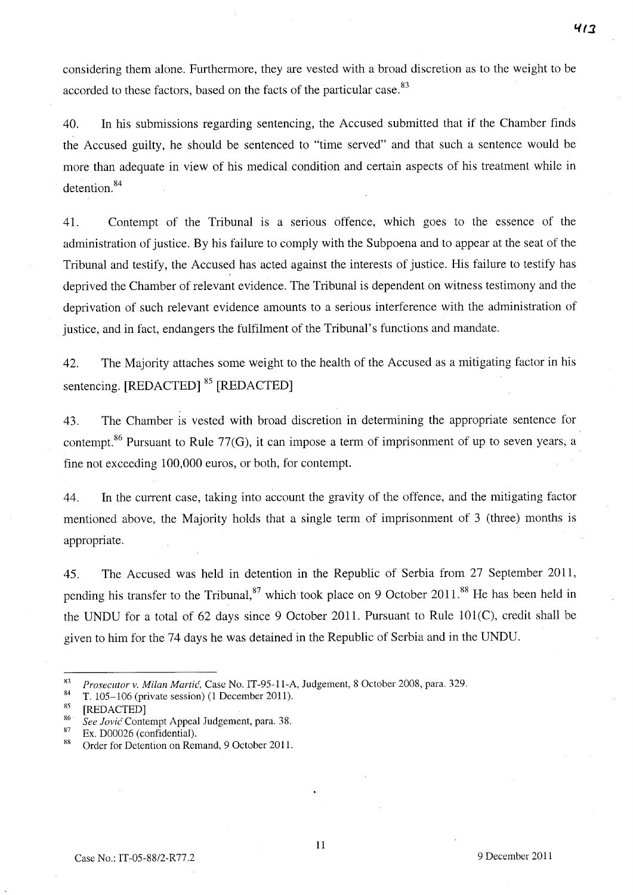considering them alone. Furthermore, they are vested with a broad discretion as to the weight to be accorded to these factors, based on the facts of the particular case.<sup>83</sup>

40. **In** his submissions regarding sentencing, the Accused submitted that if the Chamber finds the Accused guilty, he should be sentenced to "time served" and that such a sentence would be more than adequate in view of his medical condition and certain aspects of his treatment while in  $d$  etention.  $84$ 

41. Contempt of the Tribunal is a senous offence, which goes to the essence of the administration of justice. By his failure to comply with the Subpoena and to appear at the seat of the Tribunal and testify, the Accused has acted against the interests of justice. His failure to testify has deprived the Chamber of relevant evidence. The Tribunal is dependent on witness testimony and the deprivation of such relevant evidence amounts to a serious interference with the administration of justice, and in fact, endangers the fulfilment of the Tribunal's functions and mandate.

42. The Majority attaches some weight to the health of the Accused as a mitigating factor in his sentencing. [REDACTED] <sup>85</sup> [REDACTED]

43. The Chamber is vested with broad discretion in detennining the appropriate sentence for contempt.<sup>86</sup> Pursuant to Rule 77(G), it can impose a term of imprisonment of up to seven years, a fine not exceeding 100,000 euros, or both, for contempt.

44. **In** the current case, taking into account the gravity of the offence, and the mitigating factor mentioned above, the Majority holds that a single term of imprisonment of 3 (three) months is appropriate.

45. The Accused was held in detention in the Republic of Serbia from 27 September 2011, pending his transfer to the Tribunal,  $87$  which took place on 9 October 2011.<sup>88</sup> He has been held in the UNDU for a total of  $62$  days since 9 October 2011. Pursuant to Rule 101(C), credit shall be given to him for the 74 days he was detained in the Republic of Serbia and in the UNDU.

<sup>&</sup>lt;sup>83</sup> *Prosecutor v. Milan Martić, Case No. IT-95-11-A, Judgement, 8 October 2008, para. 329.*<br><sup>84</sup> T. 105, 106 (minste escaira) (1 December 2011).

<sup>84</sup>T. 105-106 (private session) (1 December 2011).

 $rac{85}{86}$  [REDACTED]

*<sup>86</sup> See Jovic* Contempt Appeal Judgement, para. 3S.

 $\frac{87}{88}$  Ex. D00026 (confidential).

Order for Detention on Remand, 9 October 2011.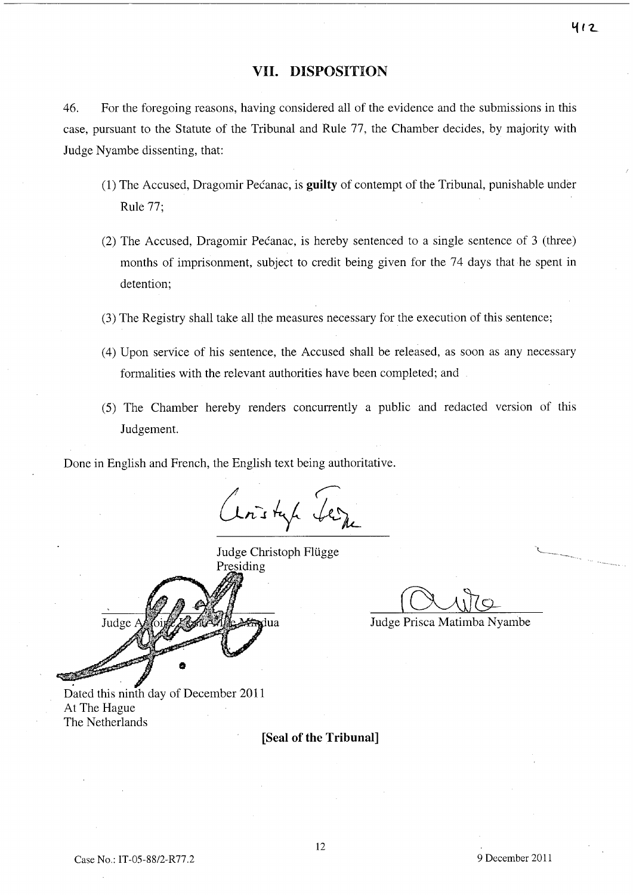## **VII. DISPOSITION**

46. For the foregoing reasons, having considered all of the evidence and the submissions in this case, pursuant to the Statute of the Tribunal and Rule 77, the Chamber decides, by majority with Judge Nyambe dissenting, that:

- (1) The Accused, Dragomir Pecanac, is **guilty** of contempt of the Tribunal, punishable under Rule 77;
- (2) The Accused, Dragomir Pecanac, is hereby sentenced to a single sentence of 3 (three) months of imprisonment, subject to credit being given for the 74 days that he spent in detention;
- (3) The Registry shall take all the measures necessary for the execution of this sentence;
- (4) Upon service of his sentence, the Accused shall be released, as soon as any necessary formalities with the relevant authorities have been completed; and
- (5) The Chamber hereby renders concurrently a public and redacted version of this Judgement.

Done in English and French, the English text being authoritative.

Ceristap Seine

Judge Christoph Flügge Presiding Judge adua

Judge Prisca Matimba Nyambe

Dated this ninth day of December 2011 At The Hague The Netherlands

**[Seal of the Tribunal]**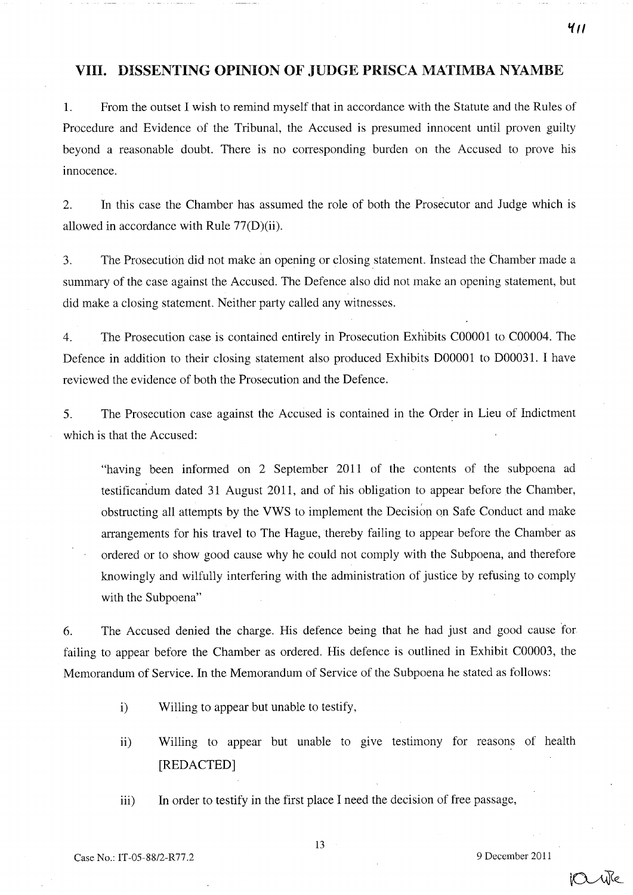## **VIII.** DISSENTING **OPINION OF** JUDGE PRISCA MATIMBA NYAMBE

1. From the outset I wish to remind myself that in accordance with the Statute and the Rules of Procedure and Evidence of the Tribunal, the Accused is presumed innocent until proven guilty beyond a reasonable doubt. There is no corresponding burden on the Accused to prove his innocence.

2. In this case the Chamber has assumed the role of both the Prosecutor and Judge which is allowed in accordance with Rule 77(D)(ii).

3. The Prosecution did not make an opening or closing statement. Instead the Chamber made a summary of the case against the Accused. The Defence also did not make an opening statement, but did make a closing statement. Neither party called any witnesses.

4. The Prosecution case is contained entirely in Prosecution Exhibits COOOOl to C00004. The Defence in addition to their closing statement also produced Exhibits D00001 to D00031. I have reviewed the evidence of both the Prosecution and the Defence.

5. The Prosecution case against the Accused is contained in the Order in Lieu of Indictment which is that the Accused:

"having been informed on 2 September 2011 of the contents of the subpoena ad testificandum dated 31 August 2011, and of his obligation to appear before the Chamber, obstructing all attempts by the VWS to implement the Decisiop on Safe Conduct and make arrangements for his travel to The Hague, thereby failing to appear before the Chamber as ordered or to show good cause why he could not comply with the Subpoena, and therefore knowingly and wilfully interfering with the administration of justice by refusing to comply with the Subpoena"

6. The Accused denied the charge. His defence being that he had just and good cause for failing to appear before the Chamber as ordered. His defence is outlined in Exhibit C00003, the Memorandum of Service. In the Memorandum of Service of the Subpoena he stated as follows:

- i) Willing to appear but unable to testify,
- ii) Willing to appear but unable to give testimony for reasons of health [REDACTED]
- iii) In order to testify in the first place I need the decision of free passage,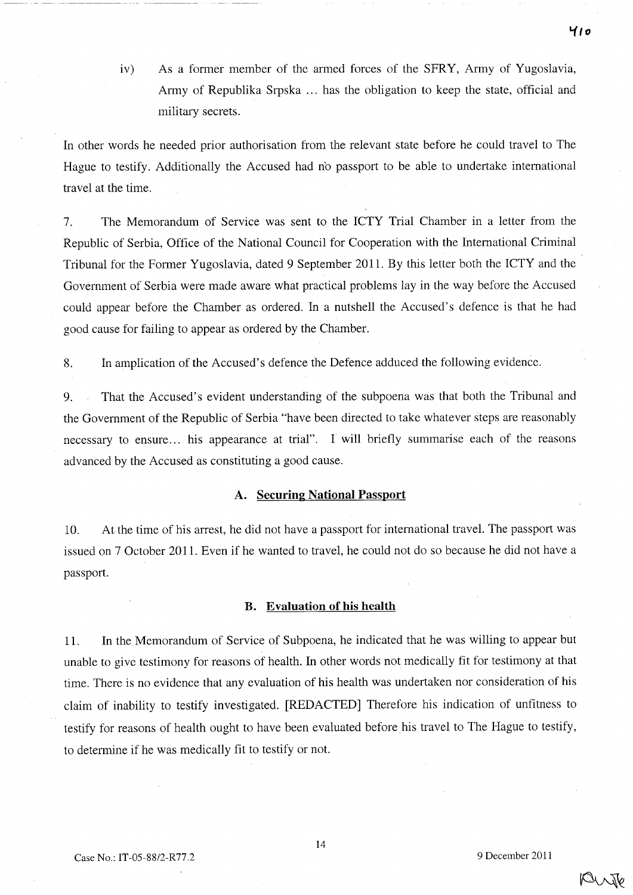iv) As a former member of the armed forces of the SFRY, Army of Yugoslavia, Army of Republika Srpska ... has the obligation to keep the state, official and military secrets.

**In** other words he needed prior authorisation from the relevant state before he could travel to The Hague to testify. Additionally the Accused had n'o passport to be able to undertake international travel at the time.

7. The Memorandum of Service was sent to the ICTY Trial Chamber in a letter from the Republic of Serbia, Office of the National Council for Cooperation with the International Criminal Tribunal for the Former Yugoslavia, dated 9 September 2011. By this letter both the ICTY and the Government of Serbia were made aware what practical problems lay in the way before the Accused could appear before the Chamber as ordered. **In** a nutshell the Accused's defence is that he had good cause for failing to appear as ordered by the Chamber.

8. **In** amplication of the Accused's defence the Defence adduced the following evidence.

9. That the Accused's evident understanding of the subpoena was that both the Tribunal and the Government of the Republic of Serbia "have been directed to take whatever steps are reasonably necessary to ensure... his appearance at trial". I will briefly summarise each of the reasons advanced by the Accused as constituting a good cause.

#### **A. Securing National Passport**

10. At the time of his arrest, he did not have a passport for international travel. The passport was issued on 7 October 2011. Even if he wanted to travel, he could not do so because he did not have a passport.

#### **B. Evaluation of his health**

11. **In** the Memorandum of Service of Subpoena, he indicated that he was willing to appear but unable to give testimony for reasons of health. **In** other words not medically fit for testimony at that time. There is no evidence that any evaluation of his health was undertaken nor consideration of his claim of inability to testify investigated. [REDACTED] Therefore his indication of unfitness to testify for reasons of health ought to have been evaluated before his travel to The Hague to testify, to determine if he was medically fit to testify or not.

14

PUNTO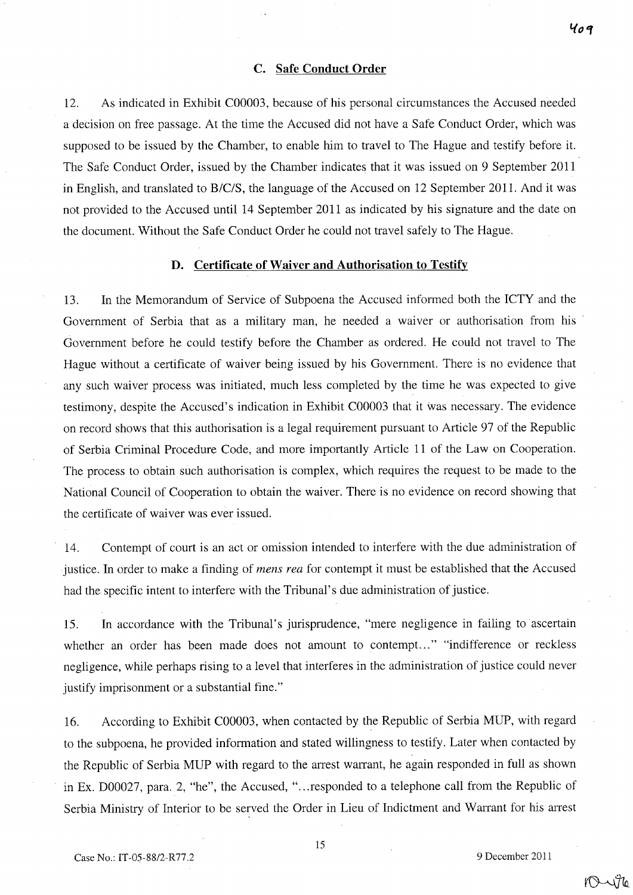#### C. Safe Conduct Order

12. As indicated in Exhibit C00003, because of his personal circumstances the Accused needed a decision on free passage. At the time the Accused did not have a Safe Conduct Order, which was supposed to be issued by the Chamber, to enable him to travel to The Hague and testify before it. The Safe Conduct Order, issued by the Chamber indicates that it was issued on 9 September 2011 in English, and translated to B/CIS, the language of the Accused on 12 September 2011. And it was not provided to the Accused until 14 September 2011 as indicated by his signature and the date on the document. Without the Safe Conduct Order he could not travel safely to The Hague.

#### D. Certificate of Waiver and Authorisation to Testify

13. In the Memorandum of Service of Subpoena the Accused informed both the ICTY and the Government of Serbia that as a military man, he needed a waiver or authorisation from his Government before he could testify before the Chamber as ordered. He could not travel to The Hague without a certificate of waiver being issued by his Government. There is no evidence that any such waiver process was initiated, much less completed by the time he was expected to give testimony, despite the Accused's indication in Exhibit C00003 that it was necessary. The evidence on record shows that this authorisation is a legal requirement pursuant to Article 97 of the Republic of Serbia Criminal Procedure Code, and more importantly Article 11 of the Law on Cooperation. The process to obtain such authorisation is complex, which requires the request to be made to the National Council of Cooperation to obtain the waiver. There is no evidence on record showing that the certificate of waiver was ever issued.

14. Contempt of court is an act or omission intended to interfere with the due administration of justice. In order to make a finding of *mens rea* for contempt it must be established that the Accused had the specific intent to interfere with the Tribunal's due administration of justice.

15. In accordance with the Tribunal's jurisprudence, "mere negligence in failing to ascertain whether an order has been made does not amount to contempt..." "indifference or reckless negligence, while perhaps rising to a level that interferes in the administration of justice could never justify imprisonment or a substantial fine."

16. According to Exhibit C00003, when contacted by the Republic of Serbia MUP, with regard to the subpoena, he provided information and stated willingness to testify. Later when contacted by the Republic of Serbia MUP with regard to the arrest warrant, he again responded in full as shown in Ex. D00027, para. 2, "he", the Accused, " ... responded to a telephone call from the Republic of Serbia Ministry of Interior to be served the Order in Lieu of Indictment and Warrant for his arrest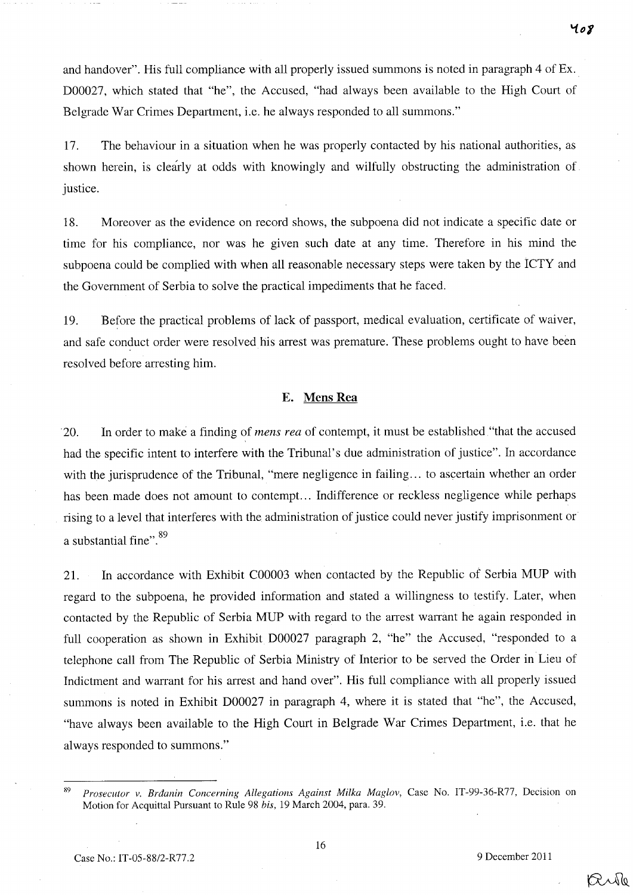and handover". His full compliance with all properly issued summons is noted in paragraph 4 of Ex. D00027, which stated that "he", the Accused, "had always been available to the High Court of Belgrade War Crimes Department, i.e. he always responded to all summons."

17. The behaviour in a situation when he was properly contacted by his national authorities, as shown herein, is clearly at odds with knowingly and wilfully obstructing the administration of justice.

18. Moreover as the evidence on record shows, the subpoena did not indicate a specific date or time for his compliance, nor was he given such date at any time. Therefore in his mind the subpoena could be complied with when all reasonable necessary steps were taken by the ICTY and the Government of Serbia to solve the practical impediments that he faced.

19. Before the practical problems of lack of passport, medical evaluation, certificate of waiver, and safe conduct order were resolved his arrest was premature. These problems ought to have been resolved before arresting him.

#### E. **Mens Rea**

20. In order to make a finding of *mens rea* of contempt, it must be established "that the accused had the specific intent to interfere with the Tribunal's due administration of justice". In accordance with the jurisprudence of the Tribunal, "mere negligence in failing... to ascertain whether an order has been made does not amount to contempt... Indifference or reckless negligence while perhaps rising to a level that interferes with the administration of justice could never justify imprisonment or a substantial fine".<sup>89</sup>

21. In accordance with Exhibit C00003 when contacted by the Republic of Serbia MUP with regard to the subpoena, he provided information and stated a willingness to testify. Later, when contacted by the Republic of Serbia MUP with regard to the arrest warrant he again responded in full cooperation as shown in Exhibit D00027 paragraph 2, "he" the Accused, "responded to a telephone call from The Republic of Serbia Ministry of Interior to be served the Order in Lieu of Indictment and warrant for his arrest and hand over". His full compliance with all properly issued summons is noted in Exhibit D00027 in paragraph 4, where it is stated that "he", the Accused, "have always been available to the High Court in Belgrade War Crimes Department, i.e. that he always responded to summons."

Ruk

*<sup>89</sup> Prosecutor* v. *Brdanin Concerning Allegations Against Milka Maglov,* Case No. IT-99-36-R77, Decision on Motion for Acquittal Pursuant to Rule 98 *his,* 19 March 2004, para. 39.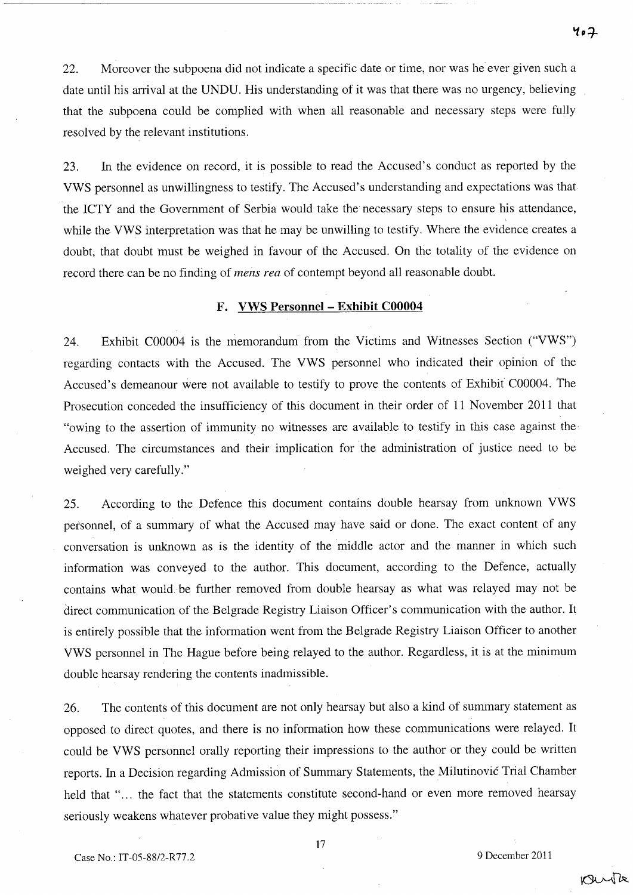22. Moreover the subpoena did not indicate a specific date or time, nor was he ever given such a date until his arrival at the UNDU. His understanding of it was that there was no urgency, believing that the subpoena could be complied with when all reasonable and necessary steps were fully resolved by the relevant institutions.

~~~~~~~~~~~~~~~~~~~~~~- ~--~ ~---

23. In the evidence on record, it is possible to read the Accused's conduct as reported by the VWS personnel as unwillingness to testify. The Accused's understanding and expectations was that the ICTY and the Government of Serbia would take the necessary steps to ensure his attendance, while the VWS interpretation was that he may be unwilling to testify. Where the evidence creates a doubt, that doubt must be weighed in favour of the Accused. On the totality of the evidence on record there can be no finding of *mens rea* of contempt beyond all reasonable doubt.

#### **F. VWS Personnel - Exhibit C00004**

24. Exhibit C00004 is the memorandum from the Victims and Witnesses Section ("VWS") regarding contacts with the Accused. The VWS personnel who indicated their opinion of the Accused's demeanour were not available to testify to prove the contents of Exhibit C00004. The Prosecution conceded the insufficiency of this document in their order of 11 November 2011 that "owing to the assertion of immunity no witnesses are available to testify in this case against the <sup>~</sup> Accused. The circumstances and their implication for the administration of justice need to be weighed very carefully."

25. According to the Defence this document contains double hearsay from unknown VWS personnel, of a summary of what the Accused may have said or done. The exact content of any conversation is unknown as is the identity of the middle actor and the manner in which such information was conveyed to the author. This document, according to the Defence, actually contains what would be further removed from double hearsay as what was relayed may not be direct communication of the Belgrade Registry Liaison Officer's communication with the author. It is entirely possible that the information went from the Belgrade Registry Liaison Officer to another VWS personnel in The Hague before being relayed to the author. Regardless, it is at the minimum double hearsay rendering the contents inadmissible.

26. The contents of this document are not only hearsay but also a kind of summary statement as opposed to direct quotes, and there is no information how these communications were relayed. It could be VWS personnel orally reporting their impressions to the author or they could be written reports. In a Decision regarding Admission of Summary Statements, the Milutinovic Trial Chamber held that "... the fact that the statements constitute second-hand or even more removed hearsay seriously weakens whatever probative value they might possess."

17

rante